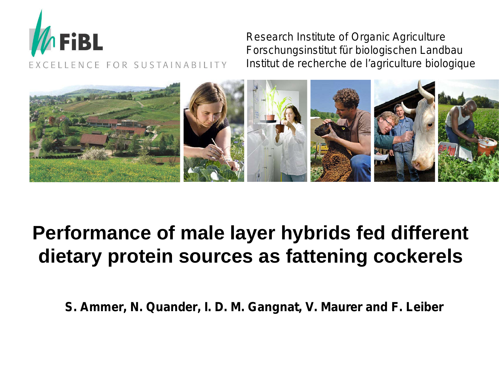

Research Institute of Organic Agriculture Forschungsinstitut für biologischen Landbau Institut de recherche de l'agriculture biologique



# **Performance of male layer hybrids fed different dietary protein sources as fattening cockerels**

*S. Ammer, N. Quander, I. D. M. Gangnat, V. Maurer and F. Leiber*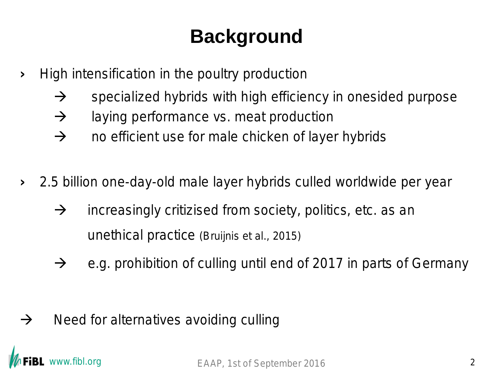# **Background**

- › High intensification in the poultry production
	- $\rightarrow$  specialized hybrids with high efficiency in onesided purpose
	- $\rightarrow$  laying performance vs. meat production
	- $\rightarrow$  no efficient use for male chicken of layer hybrids
- › 2.5 billion one-day-old male layer hybrids culled worldwide per year
	- $\rightarrow$  increasingly critizised from society, politics, etc. as an unethical practice (Bruijnis et al., 2015)
	- $\rightarrow$  e.g. prohibition of culling until end of 2017 in parts of Germany

 $\rightarrow$  Need for alternatives avoiding culling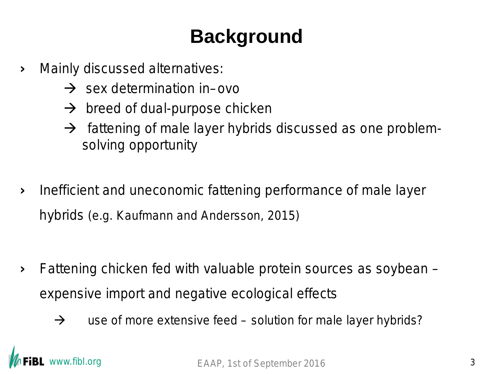# **Background**

› Mainly discussed alternatives:

- → sex determination *in–ovo*
- $\rightarrow$  breed of dual-purpose chicken
- $\rightarrow$  fattening of male layer hybrids discussed as one problemsolving opportunity
- › Inefficient and uneconomic fattening performance of male layer hybrids (e.g. Kaufmann and Andersson, 2015)

- › Fattening chicken fed with valuable protein sources as soybean expensive import and negative ecological effects
	- $\rightarrow$  use of more extensive feed solution for male layer hybrids?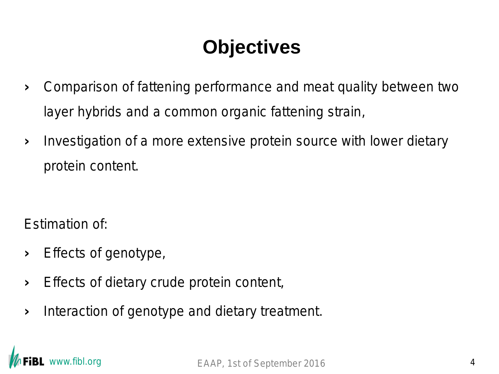# **Objectives**

- › Comparison of fattening performance and meat quality between two layer hybrids and a common organic fattening strain,
- › Investigation of a more extensive protein source with lower dietary protein content.

Estimation of:

- › Effects of genotype,
- › Effects of dietary crude protein content,
- › Interaction of genotype and dietary treatment.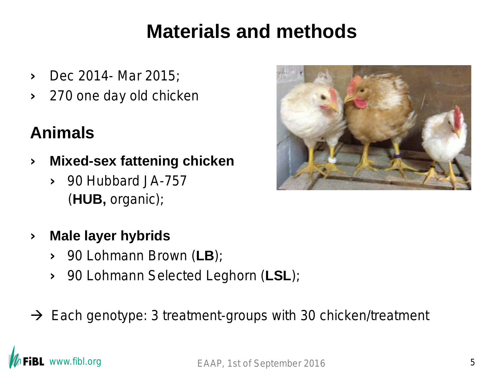# **Materials and methods**

- › Dec 2014- Mar 2015;
- › 270 one day old chicken

#### **Animals**

- › **Mixed-sex fattening chicken**
	- › 90 Hubbard JA-757 (**HUB,** organic);
- › **Male layer hybrids**
	- › 90 Lohmann Brown (**LB**);
	- › 90 Lohmann Selected Leghorn (**LSL**);
- $\rightarrow$  Each genotype: 3 treatment-groups with 30 chicken/treatment

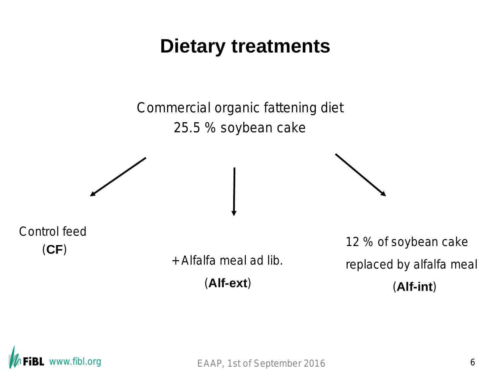## **Dietary treatments**

Commercial organic fattening diet 25.5 % soybean cake

Control feed

(**CF**) + Alfalfa meal *ad lib.*

(**Alf-ext**)

12 % of soybean cake replaced by alfalfa meal (**Alf-int**)

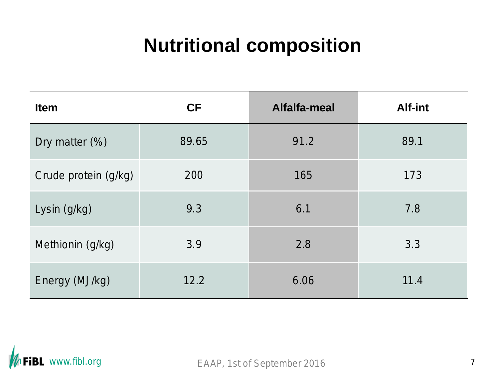# **Nutritional composition**

| <b>Item</b>          | <b>CF</b> | Alfalfa-meal | Alf-int |
|----------------------|-----------|--------------|---------|
| Dry matter $(\%)$    | 89.65     | 91.2         | 89.1    |
| Crude protein (g/kg) | 200       | 165          | 173     |
| Lysin (g/kg)         | 9.3       | 6.1          | 7.8     |
| Methionin (g/kg)     | 3.9       | 2.8          | 3.3     |
| Energy (MJ/kg)       | 12.2      | 6.06         | 11.4    |

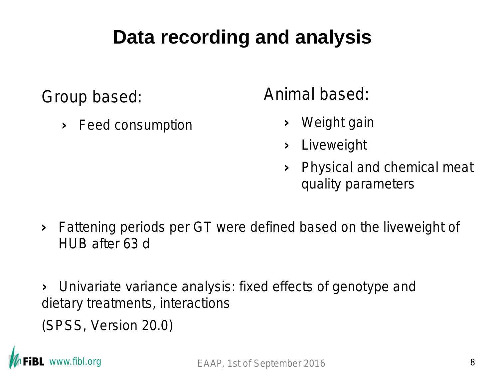# **Data recording and analysis**

Group based:

› Feed consumption

Animal based:

- › Weight gain
- › Liveweight
- › Physical and chemical meat quality parameters
- › Fattening periods per GT were defined based on the liveweight of HUB after 63 d

› Univariate variance analysis: fixed effects of genotype and dietary treatments, interactions

(SPSS, Version 20.0)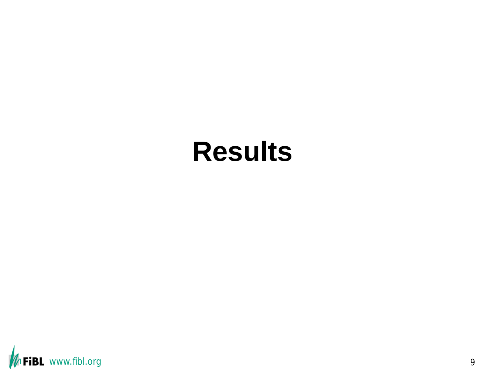# **Results**

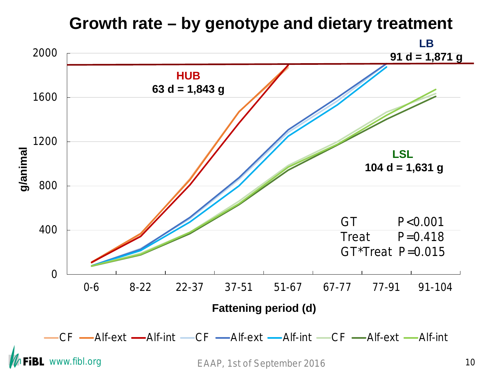

## **Growth rate – by genotype and dietary treatment**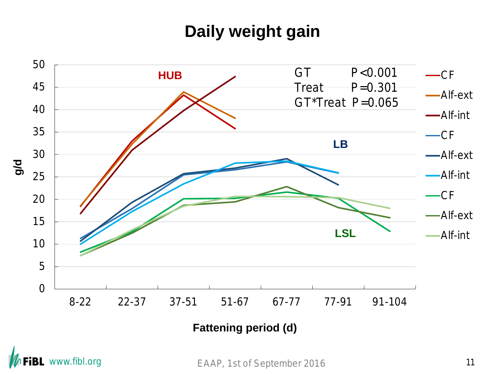#### **Daily weight gain**





EAAP, 1st of September 2016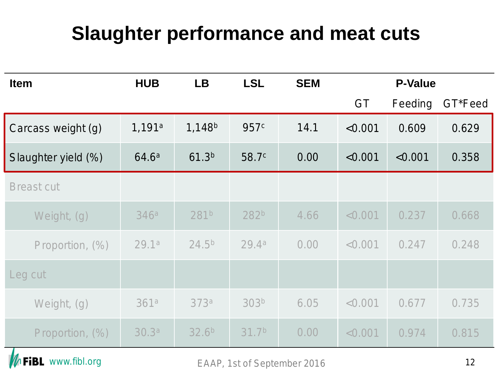# **Slaughter performance and meat cuts**

| <b>Item</b>         | <b>HUB</b>        | <b>LB</b>          | <b>LSL</b>        | <b>SEM</b> | <b>P-Value</b> |         |         |  |
|---------------------|-------------------|--------------------|-------------------|------------|----------------|---------|---------|--|
|                     |                   |                    |                   |            | <b>GT</b>      | Feeding | GT*Feed |  |
| Carcass weight (g)  | 1,191a            | 1,148 <sup>b</sup> | 957 <sup>c</sup>  | 14.1       | < 0.001        | 0.609   | 0.629   |  |
| Slaughter yield (%) | 64.6 <sup>a</sup> | 61.3 <sup>b</sup>  | 58.7 <sup>c</sup> | 0.00       | < 0.001        | < 0.001 | 0.358   |  |
| <b>Breast cut</b>   |                   |                    |                   |            |                |         |         |  |
| Weight, (g)         | 346a              | 281b               | 282 <sup>b</sup>  | 4.66       | < 0.001        | 0.237   | 0.668   |  |
| Proportion, (%)     | 29.1a             | $24.5^{b}$         | 29.4a             | 0.00       | < 0.001        | 0.247   | 0.248   |  |
| Leg cut             |                   |                    |                   |            |                |         |         |  |
| Weight, (g)         | 361a              | 373a               | 303 <sup>b</sup>  | 6.05       | < 0.001        | 0.677   | 0.735   |  |
| Proportion, (%)     | 30.3 <sup>a</sup> | 32.6 <sup>b</sup>  | 31.7 <sup>b</sup> | 0.00       | < 0.001        | 0.974   | 0.815   |  |

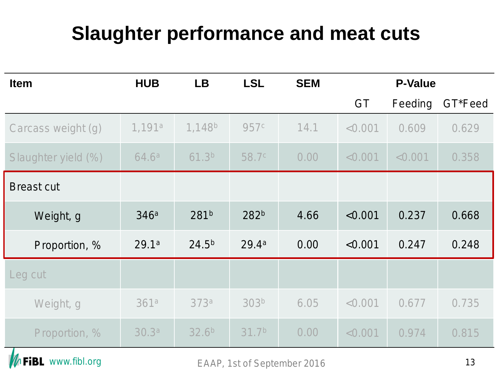# **Slaughter performance and meat cuts**

| <b>Item</b>         | <b>HUB</b>         | <b>LB</b>          | <b>LSL</b>        | <b>SEM</b> | <b>P-Value</b> |         |         |
|---------------------|--------------------|--------------------|-------------------|------------|----------------|---------|---------|
|                     |                    |                    |                   |            | <b>GT</b>      | Feeding | GT*Feed |
| Carcass weight (g)  | 1,191 <sup>a</sup> | 1,148 <sup>b</sup> | 957 <sup>c</sup>  | 14.1       | < 0.001        | 0.609   | 0.629   |
| Slaughter yield (%) | 64.6 <sup>a</sup>  | 61.3 <sup>b</sup>  | 58.7 <sup>c</sup> | 0.00       | < 0.001        | < 0.001 | 0.358   |
| <b>Breast cut</b>   |                    |                    |                   |            |                |         |         |
| Weight, g           | 346a               | 281b               | 282 <sup>b</sup>  | 4.66       | < 0.001        | 0.237   | 0.668   |
| Proportion, %       | 29.1a              | $24.5^{b}$         | 29.4 <sup>a</sup> | 0.00       | < 0.001        | 0.247   | 0.248   |
| Leg cut             |                    |                    |                   |            |                |         |         |
| Weight, g           | 361a               | 373a               | 303 <sup>b</sup>  | 6.05       | < 0.001        | 0.677   | 0.735   |
| Proportion, %       | 30.3 <sup>a</sup>  | 32.6 <sup>b</sup>  | 31.7 <sup>b</sup> | 0.00       | < 0.001        | 0.974   | 0.815   |

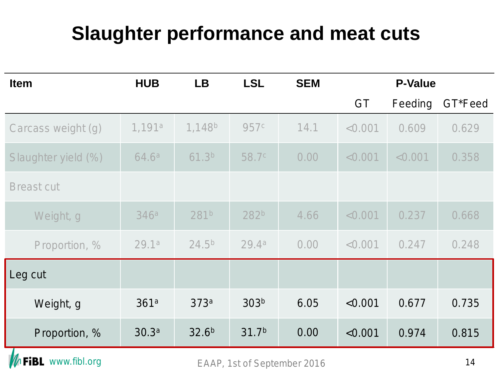# **Slaughter performance and meat cuts**

| <b>Item</b>         | <b>HUB</b>         | <b>LB</b>          | <b>LSL</b>        | <b>SEM</b> | <b>P-Value</b> |         |         |  |
|---------------------|--------------------|--------------------|-------------------|------------|----------------|---------|---------|--|
|                     |                    |                    |                   |            | <b>GT</b>      | Feeding | GT*Feed |  |
| Carcass weight (g)  | 1,191 <sup>a</sup> | 1,148 <sup>b</sup> | 957 <sup>c</sup>  | 14.1       | < 0.001        | 0.609   | 0.629   |  |
| Slaughter yield (%) | 64.6 <sup>a</sup>  | 61.3 <sup>b</sup>  | 58.7 <sup>c</sup> | 0.00       | < 0.001        | < 0.001 | 0.358   |  |
| <b>Breast cut</b>   |                    |                    |                   |            |                |         |         |  |
| Weight, g           | 346a               | 281 <sup>b</sup>   | 282 <sup>b</sup>  | 4.66       | < 0.001        | 0.237   | 0.668   |  |
| Proportion, %       | 29.1a              | $24.5^{b}$         | 29.4a             | 0.00       | < 0.001        | 0.247   | 0.248   |  |
| Leg cut             |                    |                    |                   |            |                |         |         |  |
| Weight, g           | 361a               | 373a               | 303 <sup>b</sup>  | 6.05       | < 0.001        | 0.677   | 0.735   |  |
| Proportion, %       | 30.3 <sup>a</sup>  | 32.6 <sup>b</sup>  | 31.7 <sup>b</sup> | 0.00       | < 0.001        | 0.974   | 0.815   |  |

EAAP, 1st of September 2016 14

**MFiBL** www.fibl.org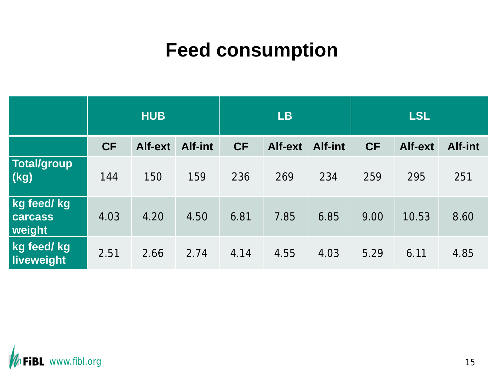# **Feed consumption**

|                                                  | <b>HUB</b> |         |         | <b>LB</b> |         |         | <b>LSL</b> |         |         |
|--------------------------------------------------|------------|---------|---------|-----------|---------|---------|------------|---------|---------|
|                                                  | <b>CF</b>  | Alf-ext | Alf-int | <b>CF</b> | Alf-ext | Alf-int | <b>CF</b>  | Alf-ext | Alf-int |
| <b>Total/group</b><br>$\overline{(\mathsf{kg})}$ | 144        | 150     | 159     | 236       | 269     | 234     | 259        | 295     | 251     |
| kg feed/ kg<br><b>carcass</b><br>weight          | 4.03       | 4.20    | 4.50    | 6.81      | 7.85    | 6.85    | 9.00       | 10.53   | 8.60    |
| kg feed/kg<br>liveweight                         | 2.51       | 2.66    | 2.74    | 4.14      | 4.55    | 4.03    | 5.29       | 6.11    | 4.85    |

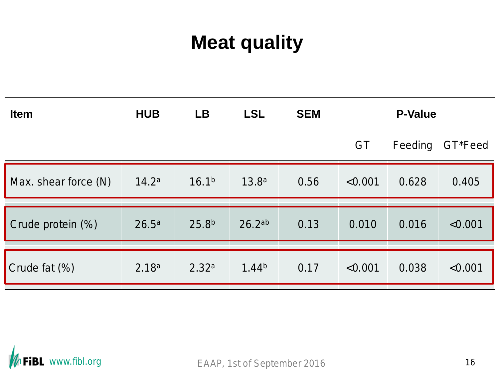# **Meat quality**

| <b>Item</b>          | <b>HUB</b>        | <b>LB</b>         | <b>LSL</b>         | <b>SEM</b> | <b>P-Value</b> |         |         |
|----------------------|-------------------|-------------------|--------------------|------------|----------------|---------|---------|
|                      |                   |                   |                    |            | <b>GT</b>      | Feeding | GT*Feed |
| Max. shear force (N) | 14.2 <sup>a</sup> | 16.1 <sup>b</sup> | 13.8 <sup>a</sup>  | 0.56       | < 0.001        | 0.628   | 0.405   |
|                      |                   |                   |                    |            |                |         |         |
| Crude protein (%)    | 26.5 <sup>a</sup> | 25.8 <sup>b</sup> | 26.2 <sup>ab</sup> | 0.13       | 0.010          | 0.016   | < 0.001 |
|                      |                   |                   |                    |            |                |         |         |
| Crude fat (%)        | 2.18 <sup>a</sup> | 2.32 <sup>a</sup> | 1.44 <sup>b</sup>  | 0.17       | < 0.001        | 0.038   | < 0.001 |

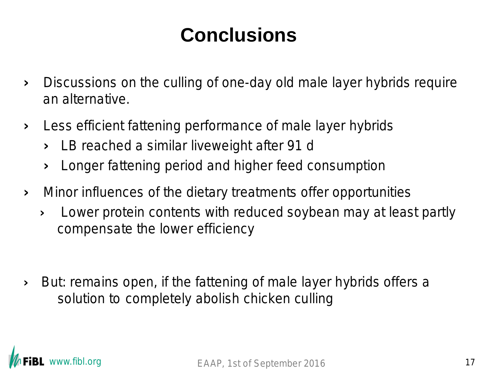# **Conclusions**

- › Discussions on the culling of one-day old male layer hybrids require an alternative.
- › Less efficient fattening performance of male layer hybrids
	- › LB reached a similar liveweight after 91 d
	- › Longer fattening period and higher feed consumption
- › Minor influences of the dietary treatments offer opportunities
	- › Lower protein contents with reduced soybean may at least partly compensate the lower efficiency
- › But: remains open, if the fattening of male layer hybrids offers a solution to completely abolish chicken culling

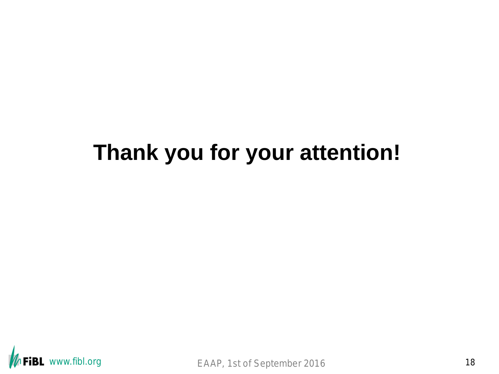# **Thank you for your attention!**